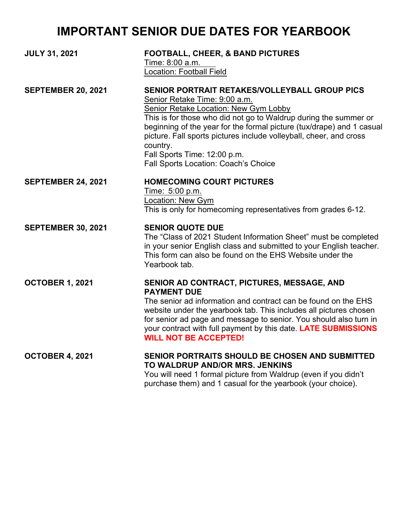## **IMPORTANT SENIOR DUE DATES FOR YEARBOOK**

| <b>JULY 31, 2021</b>      | <b>FOOTBALL, CHEER, &amp; BAND PICTURES</b><br>Time: 8:00 a.m.<br>Location: Football Field                                                                                                                                                                                                                                                                                                                                            |
|---------------------------|---------------------------------------------------------------------------------------------------------------------------------------------------------------------------------------------------------------------------------------------------------------------------------------------------------------------------------------------------------------------------------------------------------------------------------------|
| <b>SEPTEMBER 20, 2021</b> | SENIOR PORTRAIT RETAKES/VOLLEYBALL GROUP PICS<br>Senior Retake Time: 9:00 a.m.<br><b>Senior Retake Location: New Gym Lobby</b><br>This is for those who did not go to Waldrup during the summer or<br>beginning of the year for the formal picture (tux/drape) and 1 casual<br>picture. Fall sports pictures include volleyball, cheer, and cross<br>country.<br>Fall Sports Time: 12:00 p.m.<br>Fall Sports Location: Coach's Choice |
| <b>SEPTEMBER 24, 2021</b> | <b>HOMECOMING COURT PICTURES</b><br>Time: 5:00 p.m.<br>Location: New Gym<br>This is only for homecoming representatives from grades 6-12.                                                                                                                                                                                                                                                                                             |
| <b>SEPTEMBER 30, 2021</b> | <b>SENIOR QUOTE DUE</b><br>The "Class of 2021 Student Information Sheet" must be completed<br>in your senior English class and submitted to your English teacher.<br>This form can also be found on the EHS Website under the<br>Yearbook tab.                                                                                                                                                                                        |
| <b>OCTOBER 1, 2021</b>    | SENIOR AD CONTRACT, PICTURES, MESSAGE, AND<br><b>PAYMENT DUE</b><br>The senior ad information and contract can be found on the EHS<br>website under the yearbook tab. This includes all pictures chosen<br>for senior ad page and message to senior. You should also turn in<br>your contract with full payment by this date. LATE SUBMISSIONS<br><b>WILL NOT BE ACCEPTED!</b>                                                        |
| <b>OCTOBER 4, 2021</b>    | SENIOR PORTRAITS SHOULD BE CHOSEN AND SUBMITTED<br>TO WALDRUP AND/OR MRS. JENKINS<br>You will need 1 formal picture from Waldrup (even if you didn't<br>purchase them) and 1 casual for the yearbook (your choice).                                                                                                                                                                                                                   |